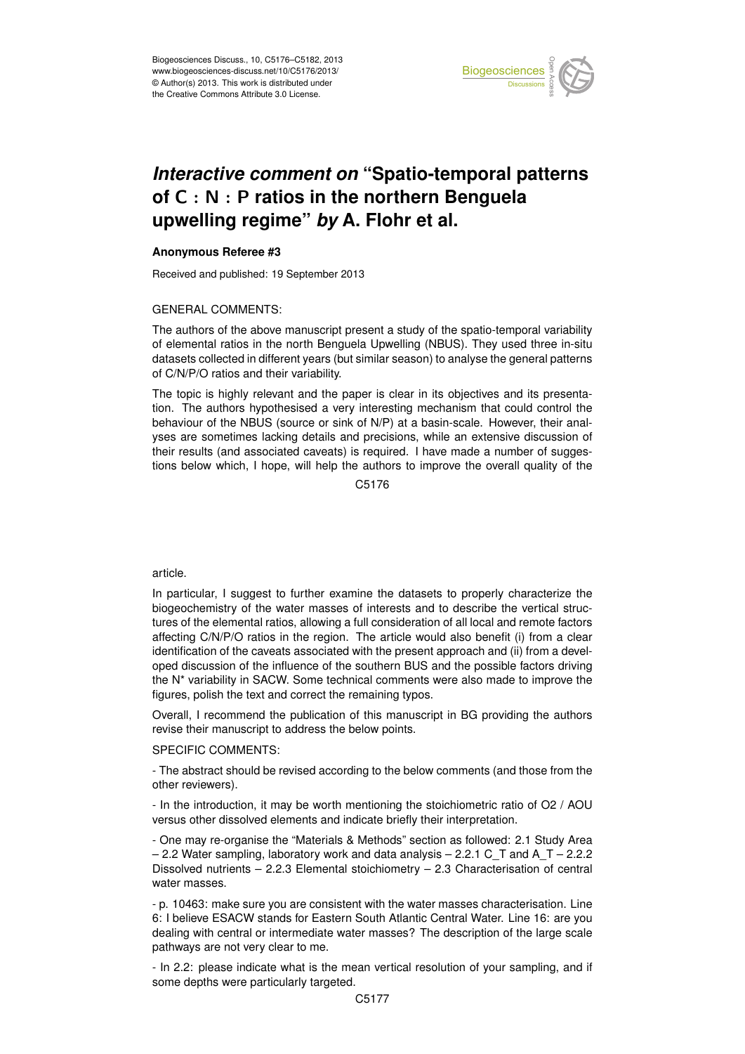

### Earth System of C  $:$  N  $:$  P ratios in the northern Benguela  $\vdots$  $\overline{\phantom{a}}$ *Interactive comment on* "Spatio-temporal patterns **upwelling regime"** *by* **A. Flohr et al.**

#### Instrumentation **Anonymous Referee #3**

Received and published: 19 September 2013 open Access

# GENERAL COMMENTS:

above manuscript present a study of the spatio-temporal e: i<br>S The authors of the above manuscript present a study of the spatio-temporal variability datasets collected in different years (but similar season) to analyse the general patterns of C/N/P/O ratios and their variability. SI<br>Ol ۲<br>pr of elemental ratios in the north Benguela Upwelling (NBUS). They used three in-situ

The topic is highly relevant and the paper is clear in its objectives and its presentation. The authors hypothesised a very interesting mechanism that could control the genation of the rispo (source of similar terms) at a basin coale. However, then analyses are sometimes lacking details and precisions, while an extensive discussion of o<br>J<br>S oe<br>S<br>S their results (and associated caveats) is required. I have made a number of suggesbehaviour of the NBUS (source or sink of N/P) at a basin-scale. However, their analtions below which, I hope, will help the authors to improve the overall quality of the

> C<br>C C5176

## article.

In particular, I suggest to further examine the datasets to properly characterize the biogeochemistry of the water masses of interests and to describe the vertical structures of the elemental ratios, allowing a full consideration of all local and remote factors affecting C/N/P/O ratios in the region. The article would also benefit (i) from a clear identification of the caveats associated with the present approach and (ii) from a developed discussion of the influence of the southern BUS and the possible factors driving the N\* variability in SACW. Some technical comments were also made to improve the figures, polish the text and correct the remaining typos.

Overall, I recommend the publication of this manuscript in BG providing the authors revise their manuscript to address the below points.

# SPECIFIC COMMENTS:

- The abstract should be revised according to the below comments (and those from the other reviewers).

- In the introduction, it may be worth mentioning the stoichiometric ratio of O2 / AOU versus other dissolved elements and indicate briefly their interpretation.

- One may re-organise the "Materials & Methods" section as followed: 2.1 Study Area  $-$  2.2 Water sampling, laboratory work and data analysis – 2.2.1 C T and A T – 2.2.2 Dissolved nutrients – 2.2.3 Elemental stoichiometry – 2.3 Characterisation of central water masses.

- p. 10463: make sure you are consistent with the water masses characterisation. Line 6: I believe ESACW stands for Eastern South Atlantic Central Water. Line 16: are you dealing with central or intermediate water masses? The description of the large scale pathways are not very clear to me.

- In 2.2: please indicate what is the mean vertical resolution of your sampling, and if some depths were particularly targeted.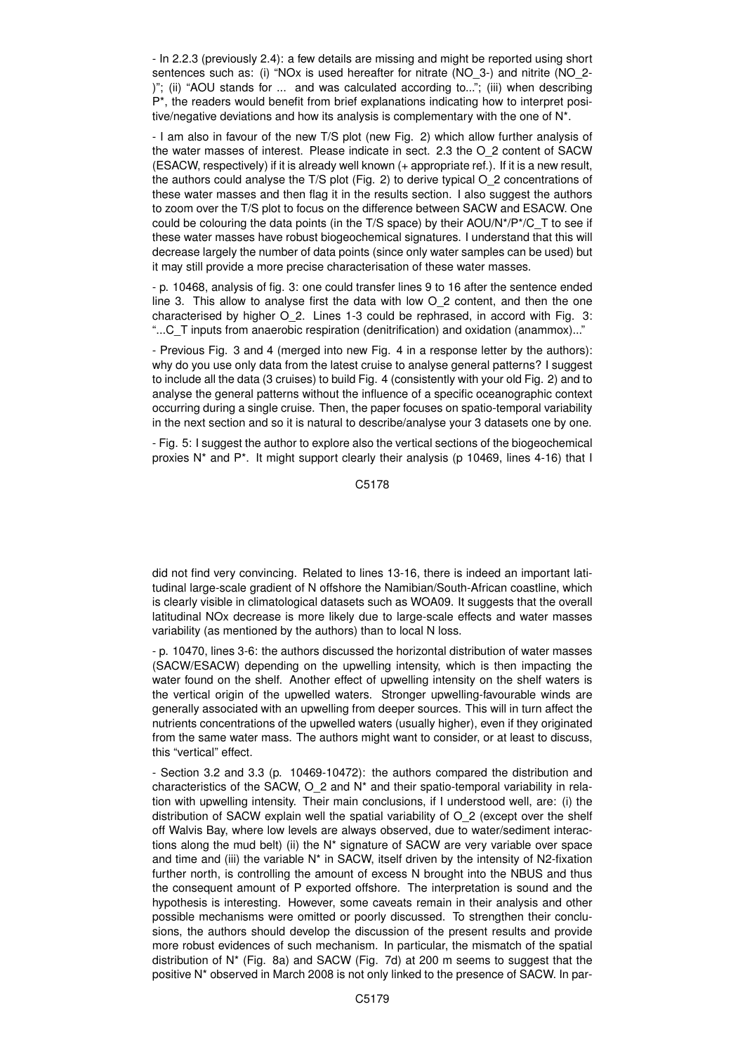- In 2.2.3 (previously 2.4): a few details are missing and might be reported using short sentences such as: (i) "NOx is used hereafter for nitrate (NO\_3-) and nitrite (NO\_2- )"; (ii) "AOU stands for ... and was calculated according to..."; (iii) when describing P\*, the readers would benefit from brief explanations indicating how to interpret positive/negative deviations and how its analysis is complementary with the one of N\*.

- I am also in favour of the new T/S plot (new Fig. 2) which allow further analysis of the water masses of interest. Please indicate in sect. 2.3 the O\_2 content of SACW (ESACW, respectively) if it is already well known (+ appropriate ref.). If it is a new result, the authors could analyse the T/S plot (Fig. 2) to derive typical O\_2 concentrations of these water masses and then flag it in the results section. I also suggest the authors to zoom over the T/S plot to focus on the difference between SACW and ESACW. One could be colouring the data points (in the T/S space) by their AOU/N\*/P\*/C\_T to see if these water masses have robust biogeochemical signatures. I understand that this will decrease largely the number of data points (since only water samples can be used) but it may still provide a more precise characterisation of these water masses.

- p. 10468, analysis of fig. 3: one could transfer lines 9 to 16 after the sentence ended line 3. This allow to analyse first the data with low O\_2 content, and then the one characterised by higher O\_2. Lines 1-3 could be rephrased, in accord with Fig. 3: "...C\_T inputs from anaerobic respiration (denitrification) and oxidation (anammox)..."

- Previous Fig. 3 and 4 (merged into new Fig. 4 in a response letter by the authors): why do you use only data from the latest cruise to analyse general patterns? I suggest to include all the data (3 cruises) to build Fig. 4 (consistently with your old Fig. 2) and to analyse the general patterns without the influence of a specific oceanographic context occurring during a single cruise. Then, the paper focuses on spatio-temporal variability in the next section and so it is natural to describe/analyse your 3 datasets one by one.

- Fig. 5: I suggest the author to explore also the vertical sections of the biogeochemical proxies N<sup>\*</sup> and P<sup>\*</sup>. It might support clearly their analysis (p 10469, lines 4-16) that I

C5178

did not find very convincing. Related to lines 13-16, there is indeed an important latitudinal large-scale gradient of N offshore the Namibian/South-African coastline, which is clearly visible in climatological datasets such as WOA09. It suggests that the overall latitudinal NOx decrease is more likely due to large-scale effects and water masses variability (as mentioned by the authors) than to local N loss.

- p. 10470, lines 3-6: the authors discussed the horizontal distribution of water masses (SACW/ESACW) depending on the upwelling intensity, which is then impacting the water found on the shelf. Another effect of upwelling intensity on the shelf waters is the vertical origin of the upwelled waters. Stronger upwelling-favourable winds are generally associated with an upwelling from deeper sources. This will in turn affect the nutrients concentrations of the upwelled waters (usually higher), even if they originated from the same water mass. The authors might want to consider, or at least to discuss, this "vertical" effect.

- Section 3.2 and 3.3 (p. 10469-10472): the authors compared the distribution and characteristics of the SACW,  $O$  2 and  $N^*$  and their spatio-temporal variability in relation with upwelling intensity. Their main conclusions, if I understood well, are: (i) the distribution of SACW explain well the spatial variability of O\_2 (except over the shelf off Walvis Bay, where low levels are always observed, due to water/sediment interactions along the mud belt) (ii) the N\* signature of SACW are very variable over space and time and (iii) the variable  $N^*$  in SACW, itself driven by the intensity of N2-fixation further north, is controlling the amount of excess N brought into the NBUS and thus the consequent amount of P exported offshore. The interpretation is sound and the hypothesis is interesting. However, some caveats remain in their analysis and other possible mechanisms were omitted or poorly discussed. To strengthen their conclusions, the authors should develop the discussion of the present results and provide more robust evidences of such mechanism. In particular, the mismatch of the spatial distribution of N\* (Fig. 8a) and SACW (Fig. 7d) at 200 m seems to suggest that the positive N\* observed in March 2008 is not only linked to the presence of SACW. In par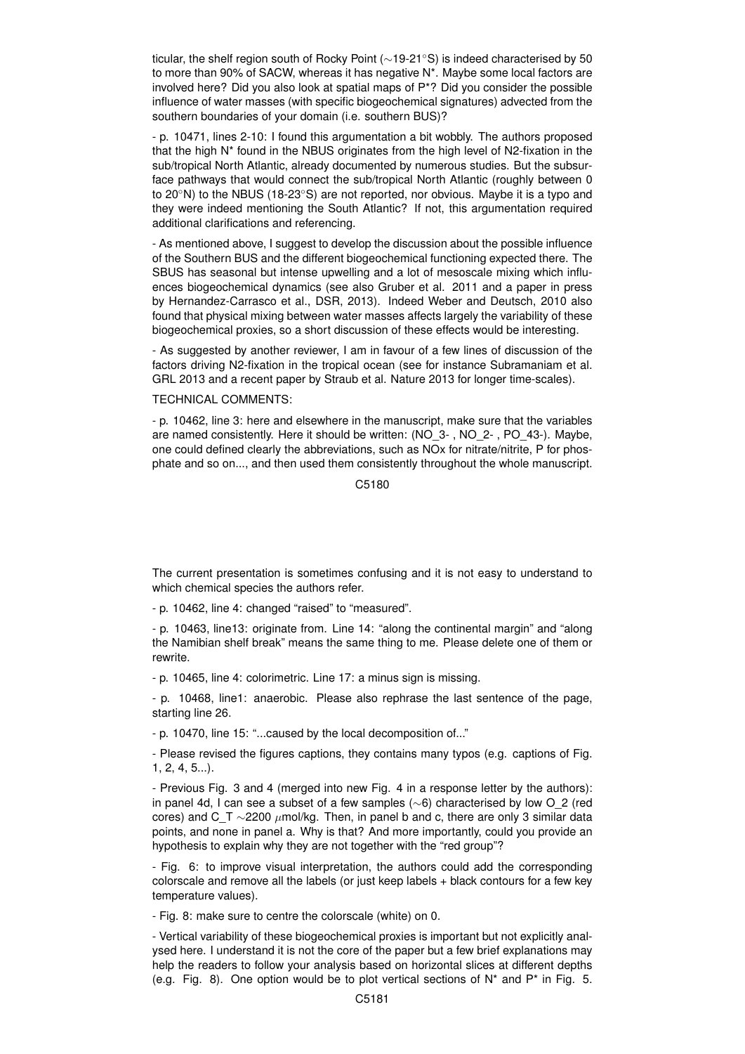ticular, the shelf region south of Rocky Point (∼19-21◦S) is indeed characterised by 50 to more than 90% of SACW, whereas it has negative N\*. Maybe some local factors are involved here? Did you also look at spatial maps of  $P^*$ ? Did you consider the possible influence of water masses (with specific biogeochemical signatures) advected from the southern boundaries of your domain (i.e. southern BUS)?

- p. 10471, lines 2-10: I found this argumentation a bit wobbly. The authors proposed that the high N\* found in the NBUS originates from the high level of N2-fixation in the sub/tropical North Atlantic, already documented by numerous studies. But the subsurface pathways that would connect the sub/tropical North Atlantic (roughly between 0 to 20◦N) to the NBUS (18-23◦S) are not reported, nor obvious. Maybe it is a typo and they were indeed mentioning the South Atlantic? If not, this argumentation required additional clarifications and referencing.

- As mentioned above, I suggest to develop the discussion about the possible influence of the Southern BUS and the different biogeochemical functioning expected there. The SBUS has seasonal but intense upwelling and a lot of mesoscale mixing which influences biogeochemical dynamics (see also Gruber et al. 2011 and a paper in press by Hernandez-Carrasco et al., DSR, 2013). Indeed Weber and Deutsch, 2010 also found that physical mixing between water masses affects largely the variability of these biogeochemical proxies, so a short discussion of these effects would be interesting.

- As suggested by another reviewer, I am in favour of a few lines of discussion of the factors driving N2-fixation in the tropical ocean (see for instance Subramaniam et al. GRL 2013 and a recent paper by Straub et al. Nature 2013 for longer time-scales).

# TECHNICAL COMMENTS:

- p. 10462, line 3: here and elsewhere in the manuscript, make sure that the variables are named consistently. Here it should be written: (NO\_3- , NO\_2- , PO\_43-). Maybe, one could defined clearly the abbreviations, such as NOx for nitrate/nitrite, P for phosphate and so on..., and then used them consistently throughout the whole manuscript.

C5180

The current presentation is sometimes confusing and it is not easy to understand to which chemical species the authors refer.

- p. 10462, line 4: changed "raised" to "measured".

- p. 10463, line13: originate from. Line 14: "along the continental margin" and "along the Namibian shelf break" means the same thing to me. Please delete one of them or rewrite.

- p. 10465, line 4: colorimetric. Line 17: a minus sign is missing.

- p. 10468, line1: anaerobic. Please also rephrase the last sentence of the page, starting line 26.

- p. 10470, line 15: "...caused by the local decomposition of..."

- Please revised the figures captions, they contains many typos (e.g. captions of Fig. 1, 2, 4, 5...).

- Previous Fig. 3 and 4 (merged into new Fig. 4 in a response letter by the authors): in panel 4d, I can see a subset of a few samples (∼6) characterised by low O\_2 (red cores) and C\_T ∼2200  $\mu$ mol/kg. Then, in panel b and c, there are only 3 similar data points, and none in panel a. Why is that? And more importantly, could you provide an hypothesis to explain why they are not together with the "red group"?

- Fig. 6: to improve visual interpretation, the authors could add the corresponding colorscale and remove all the labels (or just keep labels + black contours for a few key temperature values).

- Fig. 8: make sure to centre the colorscale (white) on 0.

- Vertical variability of these biogeochemical proxies is important but not explicitly analysed here. I understand it is not the core of the paper but a few brief explanations may help the readers to follow your analysis based on horizontal slices at different depths (e.g. Fig. 8). One option would be to plot vertical sections of  $N^*$  and  $P^*$  in Fig. 5.